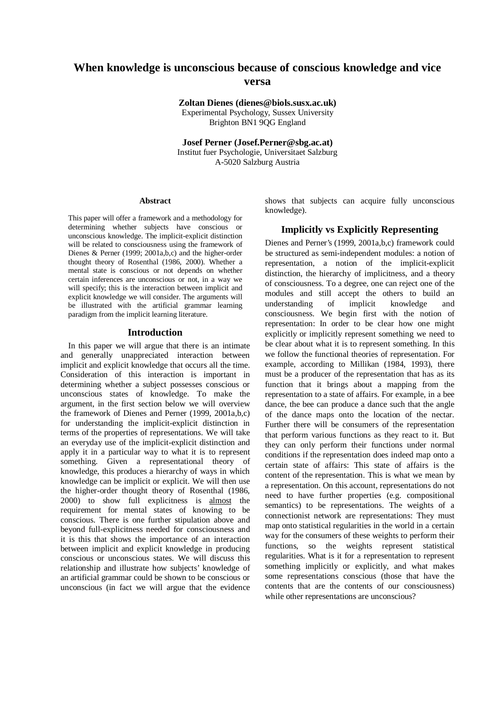# **When knowledge is unconscious because of conscious knowledge and vice versa**

**Zoltan Dienes (dienes@biols.susx.ac.uk)** Experimental Psychology, Sussex University Brighton BN1 9QG England

**Josef Perner (Josef.Perner@sbg.ac.at)** Institut fuer Psychologie, Universitaet Salzburg A-5020 Salzburg Austria

#### **Abstract**

This paper will offer a framework and a methodology for determining whether subjects have conscious or unconscious knowledge. The implicit-explicit distinction will be related to consciousness using the framework of Dienes & Perner (1999; 2001a,b,c) and the higher-order thought theory of Rosenthal (1986, 2000). Whether a mental state is conscious or not depends on whether certain inferences are unconscious or not, in a way we will specify; this is the interaction between implicit and explicit knowledge we will consider. The arguments will be illustrated with the artificial grammar learning paradigm from the implicit learning literature.

#### **Introduction**

In this paper we will argue that there is an intimate and generally unappreciated interaction between implicit and explicit knowledge that occurs all the time. Consideration of this interaction is important in determining whether a subject possesses conscious or unconscious states of knowledge. To make the argument, in the first section below we will overview the framework of Dienes and Perner (1999, 2001a,b,c) for understanding the implicit-explicit distinction in terms of the properties of representations. We will take an everyday use of the implicit-explicit distinction and apply it in a particular way to what it is to represent something. Given a representational theory of knowledge, this produces a hierarchy of ways in which knowledge can be implicit or explicit. We will then use the higher-order thought theory of Rosenthal (1986, 2000) to show full explicitness is almost the requirement for mental states of knowing to be conscious. There is one further stipulation above and beyond full-explicitness needed for consciousness and it is this that shows the importance of an interaction between implicit and explicit knowledge in producing conscious or unconscious states. We will discuss this relationship and illustrate how subjects' knowledge of an artificial grammar could be shown to be conscious or unconscious (in fact we will argue that the evidence

shows that subjects can acquire fully unconscious knowledge).

### **Implicitly vs Explicitly Representing**

Dienes and Perner's (1999, 2001a,b,c) framework could be structured as semi-independent modules: a notion of representation, a notion of the implicit-explicit distinction, the hierarchy of implicitness, and a theory of consciousness. To a degree, one can reject one of the modules and still accept the others to build an understanding of implicit knowledge and consciousness. We begin first with the notion of representation: In order to be clear how one might explicitly or implicitly represent something we need to be clear about what it is to represent something. In this we follow the functional theories of representation. For example, according to Millikan (1984, 1993), there must be a producer of the representation that has as its function that it brings about a mapping from the representation to a state of affairs. For example, in a bee dance, the bee can produce a dance such that the angle of the dance maps onto the location of the nectar. Further there will be consumers of the representation that perform various functions as they react to it. But they can only perform their functions under normal conditions if the representation does indeed map onto a certain state of affairs: This state of affairs is the content of the representation. This is what we mean by a representation. On this account, representations do not need to have further properties (e.g. compositional semantics) to be representations. The weights of a connectionist network are representations: They must map onto statistical regularities in the world in a certain way for the consumers of these weights to perform their functions, so the weights represent statistical regularities. What is it for a representation to represent something implicitly or explicitly, and what makes some representations conscious (those that have the contents that are the contents of our consciousness) while other representations are unconscious?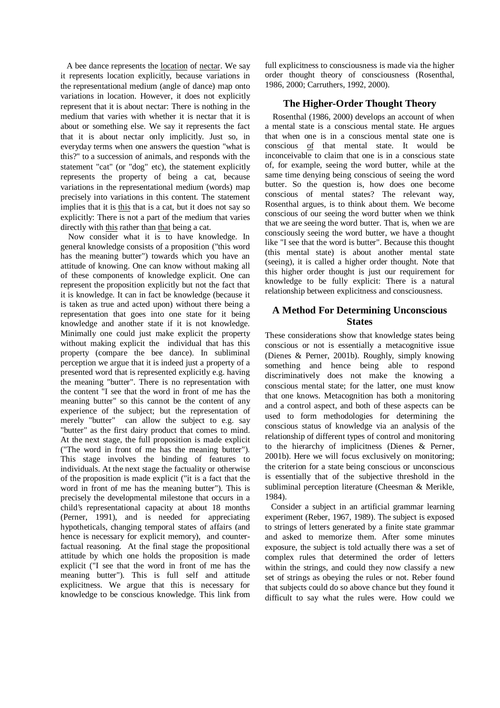A bee dance represents the location of nectar. We say it represents location explicitly, because variations in the representational medium (angle of dance) map onto variations in location. However, it does not explicitly represent that it is about nectar: There is nothing in the medium that varies with whether it is nectar that it is about or something else. We say it represents the fact that it is about nectar only implicitly. Just so, in everyday terms when one answers the question "what is this?" to a succession of animals, and responds with the statement "cat" (or "dog" etc), the statement explicitly represents the property of being a cat, because variations in the representational medium (words) map precisely into variations in this content. The statement implies that it is this that is a cat, but it does not say so explicitly: There is not a part of the medium that varies directly with this rather than that being a cat.

Now consider what it is to have knowledge. In general knowledge consists of a proposition ("this word has the meaning butter") towards which you have an attitude of knowing. One can know without making all of these components of knowledge explicit. One can represent the proposition explicitly but not the fact that it is knowledge. It can in fact be knowledge (because it is taken as true and acted upon) without there being a representation that goes into one state for it being knowledge and another state if it is not knowledge. Minimally one could just make explicit the property without making explicit the individual that has this property (compare the bee dance). In subliminal perception we argue that it is indeed just a property of a presented word that is represented explicitly e.g. having the meaning "butter". There is no representation with the content "I see that the word in front of me has the meaning butter" so this cannot be the content of any experience of the subject; but the representation of merely "butter" can allow the subject to e.g. say "butter" as the first dairy product that comes to mind. At the next stage, the full proposition is made explicit ("The word in front of me has the meaning butter"). This stage involves the binding of features to individuals. At the next stage the factuality or otherwise of the proposition is made explicit ("it is a fact that the word in front of me has the meaning butter"). This is precisely the developmental milestone that occurs in a child's representational capacity at about 18 months (Perner, 1991), and is needed for appreciating hypotheticals, changing temporal states of affairs (and hence is necessary for explicit memory), and counterfactual reasoning. At the final stage the propositional attitude by which one holds the proposition is made explicit ("I see that the word in front of me has the meaning butter"). This is full self and attitude explicitness. We argue that this is necessary for knowledge to be conscious knowledge. This link from

full explicitness to consciousness is made via the higher order thought theory of consciousness (Rosenthal, 1986, 2000; Carruthers, 1992, 2000).

### **The Higher-Order Thought Theory**

Rosenthal (1986, 2000) develops an account of when a mental state is a conscious mental state. He argues that when one is in a conscious mental state one is conscious of that mental state. It would be inconceivable to claim that one is in a conscious state of, for example, seeing the word butter, while at the same time denying being conscious of seeing the word butter. So the question is, how does one become conscious of mental states? The relevant way, Rosenthal argues, is to think about them. We become conscious of our seeing the word butter when we think that we are seeing the word butter. That is, when we are consciously seeing the word butter, we have a thought like "I see that the word is butter". Because this thought (this mental state) is about another mental state (seeing), it is called a higher order thought. Note that this higher order thought is just our requirement for knowledge to be fully explicit: There is a natural relationship between explicitness and consciousness.

### **A Method For Determining Unconscious States**

These considerations show that knowledge states being conscious or not is essentially a metacognitive issue (Dienes & Perner, 2001b). Roughly, simply knowing something and hence being able to respond discriminatively does not make the knowing a conscious mental state; for the latter, one must know that one knows. Metacognition has both a monitoring and a control aspect, and both of these aspects can be used to form methodologies for determining the conscious status of knowledge via an analysis of the relationship of different types of control and monitoring to the hierarchy of implicitness (Dienes & Perner, 2001b). Here we will focus exclusively on monitoring; the criterion for a state being conscious or unconscious is essentially that of the subjective threshold in the subliminal perception literature (Cheesman & Merikle, 1984).

Consider a subject in an artificial grammar learning experiment (Reber, 1967, 1989). The subject is exposed to strings of letters generated by a finite state grammar and asked to memorize them. After some minutes exposure, the subject is told actually there was a set of complex rules that determined the order of letters within the strings, and could they now classify a new set of strings as obeying the rules or not. Reber found that subjects could do so above chance but they found it difficult to say what the rules were. How could we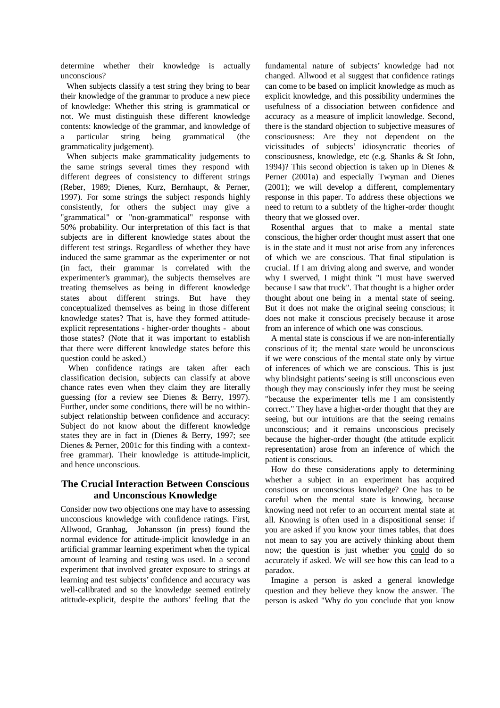determine whether their knowledge is actually unconscious?

When subjects classify a test string they bring to bear their knowledge of the grammar to produce a new piece of knowledge: Whether this string is grammatical or not. We must distinguish these different knowledge contents: knowledge of the grammar, and knowledge of a particular string being grammatical (the grammaticality judgement).

When subjects make grammaticality judgements to the same strings several times they respond with different degrees of consistency to different strings (Reber, 1989; Dienes, Kurz, Bernhaupt, & Perner, 1997). For some strings the subject responds highly consistently, for others the subject may give a "grammatical" or "non-grammatical" response with 50% probability. Our interpretation of this fact is that subjects are in different knowledge states about the different test strings. Regardless of whether they have induced the same grammar as the experimenter or not (in fact, their grammar is correlated with the experimenter's grammar), the subjects themselves are treating themselves as being in different knowledge states about different strings. But have they conceptualized themselves as being in those different knowledge states? That is, have they formed attitudeexplicit representations - higher-order thoughts - about those states? (Note that it was important to establish that there were different knowledge states before this question could be asked.)

When confidence ratings are taken after each classification decision, subjects can classify at above chance rates even when they claim they are literally guessing (for a review see Dienes & Berry, 1997). Further, under some conditions, there will be no withinsubject relationship between confidence and accuracy: Subject do not know about the different knowledge states they are in fact in (Dienes & Berry, 1997; see Dienes & Perner, 2001c for this finding with a contextfree grammar). Their knowledge is attitude-implicit, and hence unconscious.

## **The Crucial Interaction Between Conscious and Unconscious Knowledge**

Consider now two objections one may have to assessing unconscious knowledge with confidence ratings. First, Allwood, Granhag, Johansson (in press) found the normal evidence for attitude-implicit knowledge in an artificial grammar learning experiment when the typical amount of learning and testing was used. In a second experiment that involved greater exposure to strings at learning and test subjects' confidence and accuracy was well-calibrated and so the knowledge seemed entirely atittude-explicit, despite the authors' feeling that the

fundamental nature of subjects' knowledge had not changed. Allwood et al suggest that confidence ratings can come to be based on implicit knowledge as much as explicit knowledge, and this possibility undermines the usefulness of a dissociation between confidence and accuracy as a measure of implicit knowledge. Second, there is the standard objection to subjective measures of consciousness: Are they not dependent on the vicissitudes of subjects' idiosyncratic theories of consciousness, knowledge, etc (e.g. Shanks & St John, 1994)? This second objection is taken up in Dienes & Perner (2001a) and especially Twyman and Dienes (2001); we will develop a different, complementary response in this paper. To address these objections we need to return to a subtlety of the higher-order thought theory that we glossed over.

Rosenthal argues that to make a mental state conscious, the higher order thought must assert that one is in the state and it must not arise from any inferences of which we are conscious. That final stipulation is crucial. If I am driving along and swerve, and wonder why I swerved, I might think "I must have swerved because I saw that truck". That thought is a higher order thought about one being in a mental state of seeing. But it does not make the original seeing conscious; it does not make it conscious precisely because it arose from an inference of which one was conscious.

A mental state is conscious if we are non-inferentially conscious of it; the mental state would be unconscious if we were conscious of the mental state only by virtue of inferences of which we are conscious. This is just why blindsight patients'seeing is still unconscious even though they may consciously infer they must be seeing "because the experimenter tells me I am consistently correct." They have a higher-order thought that they are seeing, but our intuitions are that the seeing remains unconscious; and it remains unconscious precisely because the higher-order thought (the attitude explicit representation) arose from an inference of which the patient is conscious.

How do these considerations apply to determining whether a subject in an experiment has acquired conscious or unconscious knowledge? One has to be careful when the mental state is knowing, because knowing need not refer to an occurrent mental state at all. Knowing is often used in a dispositional sense: if you are asked if you know your times tables, that does not mean to say you are actively thinking about them now; the question is just whether you could do so accurately if asked. We will see how this can lead to a paradox.

Imagine a person is asked a general knowledge question and they believe they know the answer. The person is asked "Why do you conclude that you know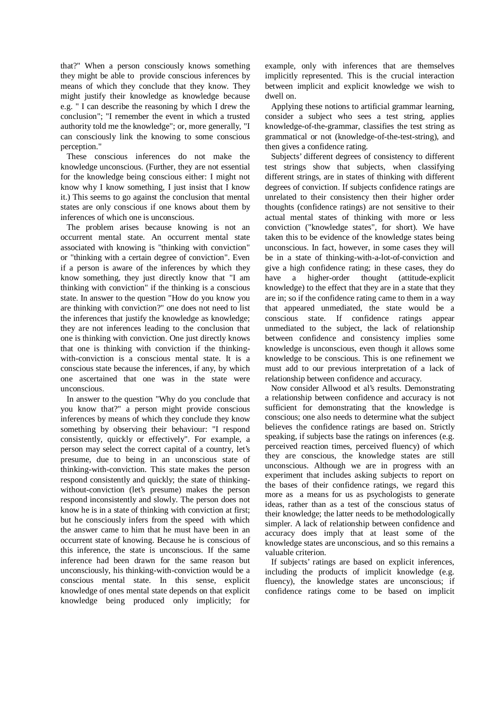that?" When a person consciously knows something they might be able to provide conscious inferences by means of which they conclude that they know. They might justify their knowledge as knowledge because e.g. " I can describe the reasoning by which I drew the conclusion"; "I remember the event in which a trusted authority told me the knowledge"; or, more generally, "I can consciously link the knowing to some conscious perception."

These conscious inferences do not make the knowledge unconscious. (Further, they are not essential for the knowledge being conscious either: I might not know why I know something, I just insist that I know it.) This seems to go against the conclusion that mental states are only conscious if one knows about them by inferences of which one is unconscious.

The problem arises because knowing is not an occurrent mental state. An occurrent mental state associated with knowing is "thinking with conviction" or "thinking with a certain degree of conviction". Even if a person is aware of the inferences by which they know something, they just directly know that "I am thinking with conviction" if the thinking is a conscious state. In answer to the question "How do you know you are thinking with conviction?" one does not need to list the inferences that justify the knowledge as knowledge; they are not inferences leading to the conclusion that one is thinking with conviction. One just directly knows that one is thinking with conviction if the thinkingwith-conviction is a conscious mental state. It is a conscious state because the inferences, if any, by which one ascertained that one was in the state were unconscious.

In answer to the question "Why do you conclude that you know that?" a person might provide conscious inferences by means of which they conclude they know something by observing their behaviour: "I respond consistently, quickly or effectively". For example, a person may select the correct capital of a country, let's presume, due to being in an unconscious state of thinking-with-conviction. This state makes the person respond consistently and quickly; the state of thinkingwithout-conviction (let's presume) makes the person respond inconsistently and slowly. The person does not know he is in a state of thinking with conviction at first; but he consciously infers from the speed with which the answer came to him that he must have been in an occurrent state of knowing. Because he is conscious of this inference, the state is unconscious. If the same inference had been drawn for the same reason but unconsciously, his thinking-with-conviction would be a conscious mental state. In this sense, explicit knowledge of ones mental state depends on that explicit knowledge being produced only implicitly; for example, only with inferences that are themselves implicitly represented. This is the crucial interaction between implicit and explicit knowledge we wish to dwell on.

Applying these notions to artificial grammar learning, consider a subject who sees a test string, applies knowledge-of-the-grammar, classifies the test string as grammatical or not (knowledge-of-the-test-string), and then gives a confidence rating.

Subjects' different degrees of consistency to different test strings show that subjects, when classifying different strings, are in states of thinking with different degrees of conviction. If subjects confidence ratings are unrelated to their consistency then their higher order thoughts (confidence ratings) are not sensitive to their actual mental states of thinking with more or less conviction ("knowledge states", for short). We have taken this to be evidence of the knowledge states being unconscious. In fact, however, in some cases they will be in a state of thinking-with-a-lot-of-conviction and give a high confidence rating; in these cases, they do have a higher-order thought (attitude-explicit knowledge) to the effect that they are in a state that they are in; so if the confidence rating came to them in a way that appeared unmediated, the state would be a conscious state. If confidence ratings appear unmediated to the subject, the lack of relationship between confidence and consistency implies some knowledge is unconscious, even though it allows some knowledge to be conscious. This is one refinement we must add to our previous interpretation of a lack of relationship between confidence and accuracy.

Now consider Allwood et al's results. Demonstrating a relationship between confidence and accuracy is not sufficient for demonstrating that the knowledge is conscious; one also needs to determine what the subject believes the confidence ratings are based on. Strictly speaking, if subjects base the ratings on inferences (e.g. perceived reaction times, perceived fluency) of which they are conscious, the knowledge states are still unconscious. Although we are in progress with an experiment that includes asking subjects to report on the bases of their confidence ratings, we regard this more as a means for us as psychologists to generate ideas, rather than as a test of the conscious status of their knowledge; the latter needs to be methodologically simpler. A lack of relationship between confidence and accuracy does imply that at least some of the knowledge states are unconscious, and so this remains a valuable criterion.

If subjects' ratings are based on explicit inferences, including the products of implicit knowledge (e.g. fluency), the knowledge states are unconscious; if confidence ratings come to be based on implicit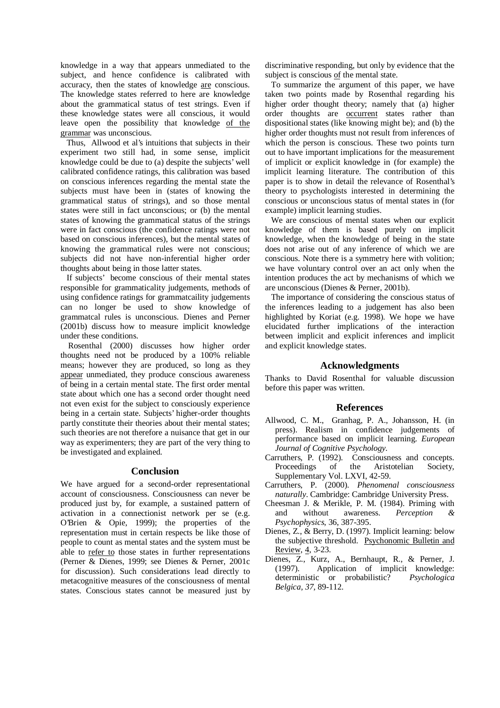knowledge in a way that appears unmediated to the subject, and hence confidence is calibrated with accuracy, then the states of knowledge are conscious. The knowledge states referred to here are knowledge about the grammatical status of test strings. Even if these knowledge states were all conscious, it would leave open the possibility that knowledge of the grammar was unconscious.

Thus, Allwood et al's intuitions that subjects in their experiment two still had, in some sense, implicit knowledge could be due to (a) despite the subjects' well calibrated confidence ratings, this calibration was based on conscious inferences regarding the mental state the subjects must have been in (states of knowing the grammatical status of strings), and so those mental states were still in fact unconscious; or (b) the mental states of knowing the grammatical status of the strings were in fact conscious (the confidence ratings were not based on conscious inferences), but the mental states of knowing the grammatical rules were not conscious; subjects did not have non-inferential higher order thoughts about being in those latter states.

If subjects' become conscious of their mental states responsible for grammaticality judgements, methods of using confidence ratings for grammatcaility judgements can no longer be used to show knowledge of grammatcal rules is unconscious. Dienes and Perner (2001b) discuss how to measure implicit knowledge under these conditions.

Rosenthal (2000) discusses how higher order thoughts need not be produced by a 100% reliable means; however they are produced, so long as they appear unmediated, they produce conscious awareness of being in a certain mental state. The first order mental state about which one has a second order thought need not even exist for the subject to consciously experience being in a certain state. Subjects' higher-order thoughts partly constitute their theories about their mental states; such theories are not therefore a nuisance that get in our way as experimenters; they are part of the very thing to be investigated and explained.

### **Conclusion**

We have argued for a second-order representational account of consciousness. Consciousness can never be produced just by, for example, a sustained pattern of activation in a connectionist network per se (e.g. O'Brien & Opie, 1999); the properties of the representation must in certain respects be like those of people to count as mental states and the system must be able to refer to those states in further representations (Perner & Dienes, 1999; see Dienes & Perner, 2001c for discussion). Such considerations lead directly to metacognitive measures of the consciousness of mental states. Conscious states cannot be measured just by discriminative responding, but only by evidence that the subject is conscious of the mental state.

To summarize the argument of this paper, we have taken two points made by Rosenthal regarding his higher order thought theory; namely that (a) higher order thoughts are occurrent states rather than dispositional states (like knowing might be); and (b) the higher order thoughts must not result from inferences of which the person is conscious. These two points turn out to have important implications for the measurement of implicit or explicit knowledge in (for example) the implicit learning literature. The contribution of this paper is to show in detail the relevance of Rosenthal's theory to psychologists interested in determining the conscious or unconscious status of mental states in (for example) implicit learning studies.

We are conscious of mental states when our explicit knowledge of them is based purely on implicit knowledge, when the knowledge of being in the state does not arise out of any inference of which we are conscious. Note there is a symmetry here with volition; we have voluntary control over an act only when the intention produces the act by mechanisms of which we are unconscious (Dienes & Perner, 2001b).

The importance of considering the conscious status of the inferences leading to a judgement has also been highlighted by Koriat (e.g. 1998). We hope we have elucidated further implications of the interaction between implicit and explicit inferences and implicit and explicit knowledge states.

### **Acknowledgments**

Thanks to David Rosenthal for valuable discussion before this paper was written.

### **References**

- Allwood, C. M., Granhag, P. A., Johansson, H. (in press). Realism in confidence judgements of performance based on implicit learning. *European Journal of Cognitive Psychology.*
- Carruthers, P. (1992). Consciousness and concepts. Proceedings of the Aristotelian Society, Supplementary Vol. LXVI, 42-59.
- Carruthers, P. (2000). *Phenomenal consciousness naturally*. Cambridge: Cambridge University Press.
- Cheesman J. & Merikle, P. M. (1984). Priming with<br>and without awareness *Percention* & and without awareness. *Perception & Psychophysics*, 36, 387-395.
- Dienes, Z., & Berry, D. (1997). Implicit learning: below the subjective threshold. Psychonomic Bulletin and Review, 4, 3-23.
- Dienes, Z., Kurz, A., Bernhaupt, R., & Perner, J. (1997). Application of implicit knowledge: deterministic or probabilistic? *Psychologica Belgica, 37*, 89-112.